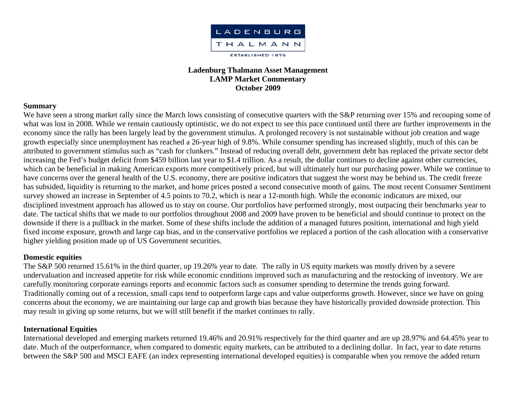

### **Ladenburg Thalmann Asset Management LAMP Market Commentary October 2009**

#### **Summary**

We have seen a strong market rally since the March lows consisting of consecutive quarters with the S&P returning over 15% and recouping some of what was lost in 2008. While we remain cautiously optimistic, we do not expect to see this pace continued until there are further improvements in the economy since the rally has been largely lead by the government stimulus. A prolonged recovery is not sustainable without job creation and wage growth especially since unemployment has reached a 26-year high of 9.8%. While consumer spending has increased slightly, much of this can be attributed to government stimulus such as "cash for clunkers." Instead of reducing overall debt, government debt has replaced the private sector debt increasing the Fed's budget deficit from \$459 billion last year to \$1.4 trillion. As a result, the dollar continues to decline against other currencies, which can be beneficial in making American exports more competitively priced, but will ultimately hurt our purchasing power. While we continue to have concerns over the general health of the U.S. economy, there are positive indicators that suggest the worst may be behind us. The credit freeze has subsided, liquidity is returning to the market, and home prices posted a second consecutive month of gains. The most recent Consumer Sentiment survey showed an increase in September of 4.5 points to 70.2, which is near a 12-month high. While the economic indicators are mixed, our disciplined investment approach has allowed us to stay on course. Our portfolios have performed strongly, most outpacing their benchmarks year to date. The tactical shifts that we made to our portfolios throughout 2008 and 2009 have proven to be beneficial and should continue to protect on the downside if there is a pullback in the market. Some of these shifts include the addition of a managed futures position, international and high yield fixed income exposure, growth and large cap bias, and in the conservative portfolios we replaced a portion of the cash allocation with a conservative higher yielding position made up of US Government securities.

### **Domestic equities**

The S&P 500 returned 15.61% in the third quarter, up 19.26% year to date. The rally in US equity markets was mostly driven by a severe undervaluation and increased appetite for risk while economic conditions improved such as manufacturing and the restocking of inventory. We are carefully monitoring corporate earnings reports and economic factors such as consumer spending to determine the trends going forward. Traditionally coming out of a recession, small caps tend to outperform large caps and value outperforms growth. However, since we have on going concerns about the economy, we are maintaining our large cap and growth bias because they have historically provided downside protection. This may result in giving up some returns, but we will still benefit if the market continues to rally.

### **International Equities**

International developed and emerging markets returned 19.46% and 20.91% respectively for the third quarter and are up 28.97% and 64.45% year to date. Much of the outperformance, when compared to domestic equity markets, can be attributed to a declining dollar. In fact, year to date returns between the S&P 500 and MSCI EAFE (an index representing international developed equities) is comparable when you remove the added return